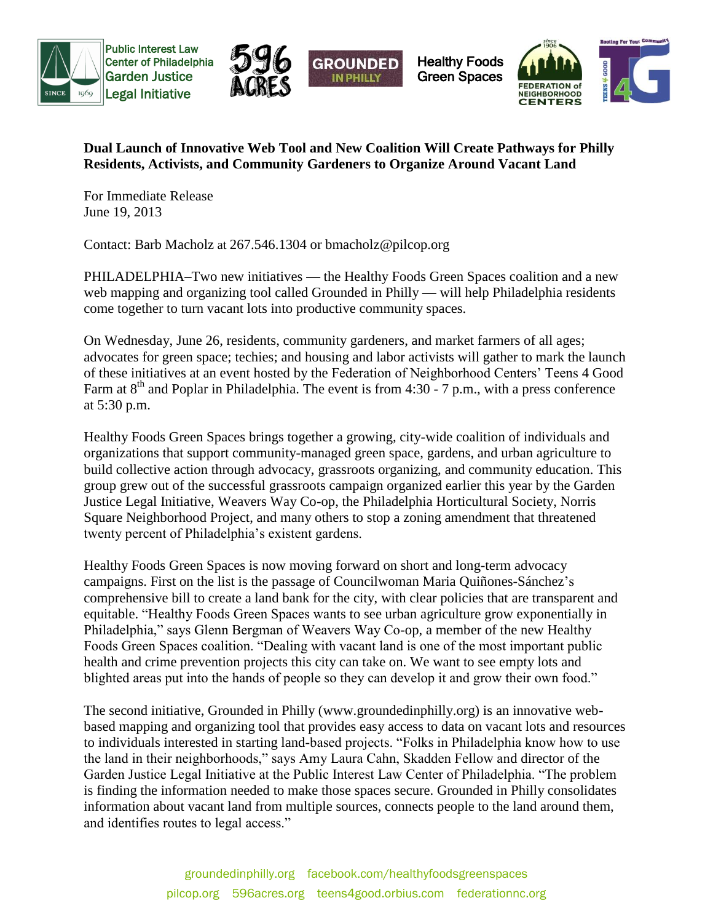



Healthy Foods Green Spaces



## **Dual Launch of Innovative Web Tool and New Coalition Will Create Pathways for Philly Residents, Activists, and Community Gardeners to Organize Around Vacant Land**

**IN PHILL** 

For Immediate Release June 19, 2013

Contact: Barb Macholz at 267.546.1304 or bmacholz@pilcop.org

PHILADELPHIA–Two new initiatives — the Healthy Foods Green Spaces coalition and a new web mapping and organizing tool called Grounded in Philly — will help Philadelphia residents come together to turn vacant lots into productive community spaces.

On Wednesday, June 26, residents, community gardeners, and market farmers of all ages; advocates for green space; techies; and housing and labor activists will gather to mark the launch of these initiatives at an event hosted by the Federation of Neighborhood Centers' Teens 4 Good Farm at  $8<sup>th</sup>$  and Poplar in Philadelphia. The event is from 4:30 - 7 p.m., with a press conference at 5:30 p.m.

Healthy Foods Green Spaces brings together a growing, city-wide coalition of individuals and organizations that support community-managed green space, gardens, and urban agriculture to build collective action through advocacy, grassroots organizing, and community education. This group grew out of the successful grassroots campaign organized earlier this year by the Garden Justice Legal Initiative, Weavers Way Co-op, the Philadelphia Horticultural Society, Norris Square Neighborhood Project, and many others to stop a zoning amendment that threatened twenty percent of Philadelphia's existent gardens.

Healthy Foods Green Spaces is now moving forward on short and long-term advocacy campaigns. First on the list is the passage of Councilwoman Maria [Quiñones-Sánchez'](https://www.facebook.com/MariaQSanchez)s comprehensive bill to create a land bank for the city, with clear policies that are transparent and equitable. "Healthy Foods Green Spaces wants to see urban agriculture grow exponentially in Philadelphia," says Glenn Bergman of Weavers Way Co-op, a member of the new Healthy Foods Green Spaces coalition. "Dealing with vacant land is one of the most important public health and crime prevention projects this city can take on. We want to see empty lots and blighted areas put into the hands of people so they can develop it and grow their own food."

The second initiative, Grounded in Philly (www.groundedinphilly.org) is an innovative webbased mapping and organizing tool that provides easy access to data on vacant lots and resources to individuals interested in starting land-based projects. "Folks in Philadelphia know how to use the land in their neighborhoods," says Amy Laura Cahn, Skadden Fellow and director of the Garden Justice Legal Initiative at the Public Interest Law Center of Philadelphia. "The problem is finding the information needed to make those spaces secure. Grounded in Philly consolidates information about vacant land from multiple sources, connects people to the land around them, and identifies routes to legal access."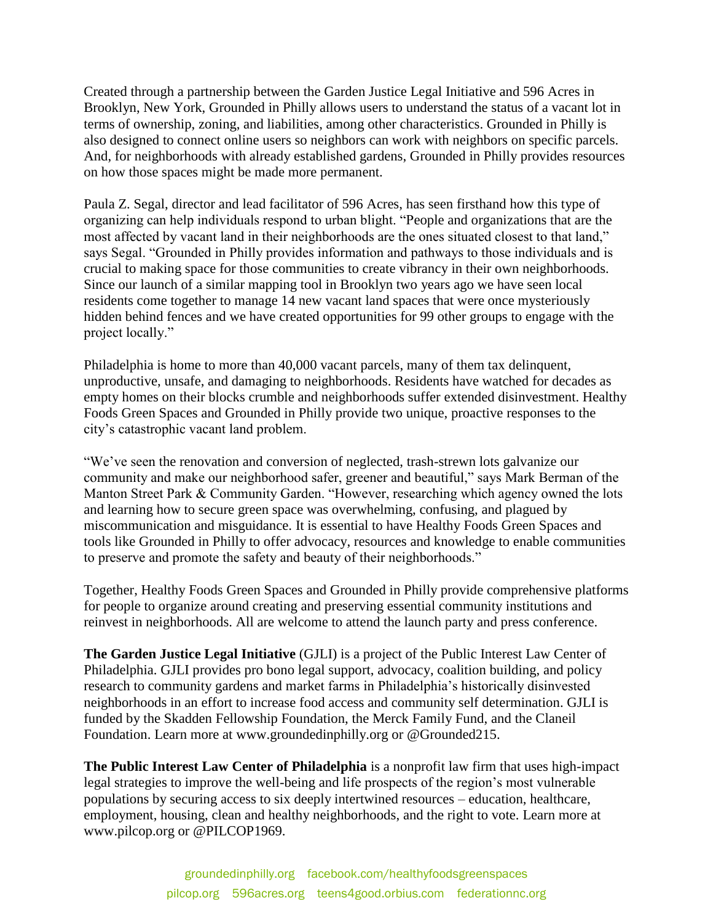Created through a partnership between the Garden Justice Legal Initiative and 596 Acres in Brooklyn, New York, Grounded in Philly allows users to understand the status of a vacant lot in terms of ownership, zoning, and liabilities, among other characteristics. Grounded in Philly is also designed to connect online users so neighbors can work with neighbors on specific parcels. And, for neighborhoods with already established gardens, Grounded in Philly provides resources on how those spaces might be made more permanent.

Paula Z. Segal, director and lead facilitator of 596 Acres, has seen firsthand how this type of organizing can help individuals respond to urban blight. "People and organizations that are the most affected by vacant land in their neighborhoods are the ones situated closest to that land," says Segal. "Grounded in Philly provides information and pathways to those individuals and is crucial to making space for those communities to create vibrancy in their own neighborhoods. Since our launch of a similar mapping tool in Brooklyn two years ago we have seen local residents come together to manage 14 new vacant land spaces that were once mysteriously hidden behind fences and we have created opportunities for 99 other groups to engage with the project locally."

Philadelphia is home to more than 40,000 vacant parcels, many of them tax delinquent, unproductive, unsafe, and damaging to neighborhoods. Residents have watched for decades as empty homes on their blocks crumble and neighborhoods suffer extended disinvestment. Healthy Foods Green Spaces and Grounded in Philly provide two unique, proactive responses to the city's catastrophic vacant land problem.

"We've seen the renovation and conversion of neglected, trash-strewn lots galvanize our community and make our neighborhood safer, greener and beautiful," says Mark Berman of the Manton Street Park & Community Garden. "However, researching which agency owned the lots and learning how to secure green space was overwhelming, confusing, and plagued by miscommunication and misguidance. It is essential to have Healthy Foods Green Spaces and tools like Grounded in Philly to offer advocacy, resources and knowledge to enable communities to preserve and promote the safety and beauty of their neighborhoods."

Together, Healthy Foods Green Spaces and Grounded in Philly provide comprehensive platforms for people to organize around creating and preserving essential community institutions and reinvest in neighborhoods. All are welcome to attend the launch party and press conference.

**The Garden Justice Legal Initiative** (GJLI) is a project of the Public Interest Law Center of Philadelphia. GJLI provides pro bono legal support, advocacy, coalition building, and policy research to community gardens and market farms in Philadelphia's historically disinvested neighborhoods in an effort to increase food access and community self determination. GJLI is funded by the Skadden Fellowship Foundation, the Merck Family Fund, and the Claneil Foundation. Learn more at www.groundedinphilly.org or @Grounded215.

**The Public Interest Law Center of Philadelphia** is a nonprofit law firm that uses high-impact legal strategies to improve the well-being and life prospects of the region's most vulnerable populations by securing access to six deeply intertwined resources – education, healthcare, employment, housing, clean and healthy neighborhoods, and the right to vote. Learn more at www.pilcop.org or @PILCOP1969.